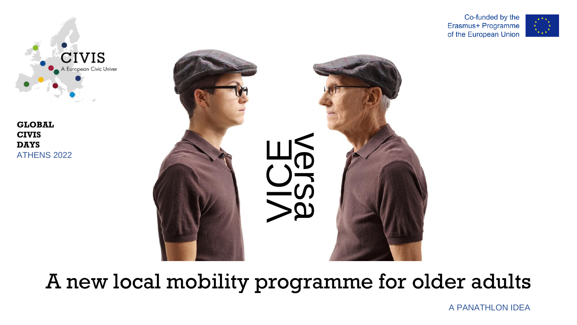

**GLOBAL CIVIS DAYS** ATHENS 2022



A new local mobility programme for older adults

Co-funded by the Erasmus+ Programme of the European Union



A PANATHLON IDEA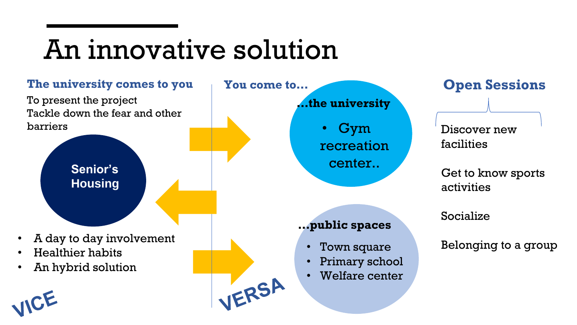# An innovative solution

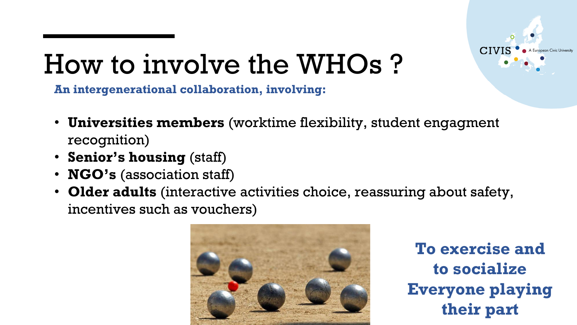

# How to involve the WHOs ?

**An intergenerational collaboration, involving:**

- **Universities members** (worktime flexibility, student engagment recognition)
- **Senior's housing** (staff)
- **NGO's** (association staff)
- **Older adults** (interactive activities choice, reassuring about safety, incentives such as vouchers)



**To exercise and to socialize Everyone playing their part**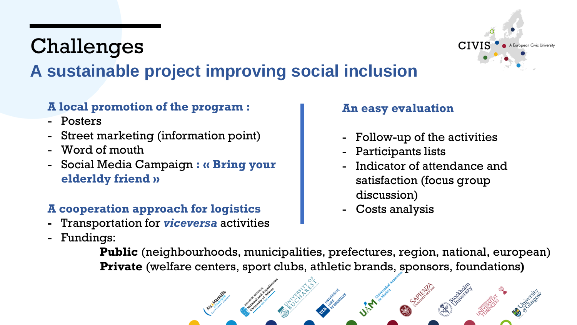### Challenges **A sustainable project improving social inclusion**

#### **A local promotion of the program :**

- Posters
- Street marketing (information point)
- Word of mouth
- Social Media Campaign **: « Bring your elderldy friend »**

### **A cooperation approach for logistics**

- **-** Transportation for *viceversa* activities
- Fundings:

### **An easy evaluation**

- Follow-up of the activities

CIVIS

- Participants lists
- Indicator of attendance and satisfaction (focus group discussion)
- Costs analysis

**Public** (neighbourhoods, municipalities, prefectures, region, national, european) **Private** (welfare centers, sport clubs, athletic brands, sponsors, foundations**)**